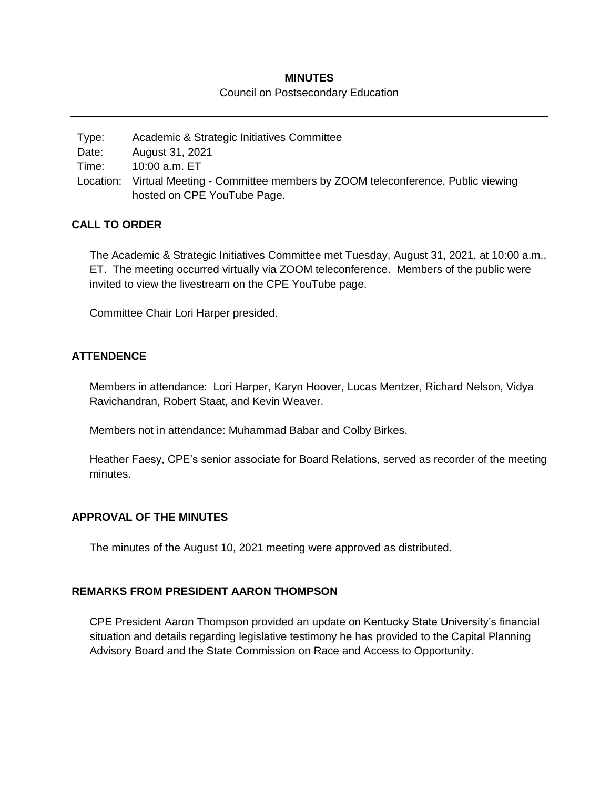# **MINUTES**

### Council on Postsecondary Education

Type: Academic & Strategic Initiatives Committee Date: August 31, 2021 Time: 10:00 a.m. ET Location: Virtual Meeting - Committee members by ZOOM teleconference, Public viewing hosted on CPE YouTube Page.

### **CALL TO ORDER**

The Academic & Strategic Initiatives Committee met Tuesday, August 31, 2021, at 10:00 a.m., ET. The meeting occurred virtually via ZOOM teleconference. Members of the public were invited to view the livestream on the CPE YouTube page.

Committee Chair Lori Harper presided.

### **ATTENDENCE**

Members in attendance: Lori Harper, Karyn Hoover, Lucas Mentzer, Richard Nelson, Vidya Ravichandran, Robert Staat, and Kevin Weaver.

Members not in attendance: Muhammad Babar and Colby Birkes.

Heather Faesy, CPE's senior associate for Board Relations, served as recorder of the meeting minutes.

### **APPROVAL OF THE MINUTES**

The minutes of the August 10, 2021 meeting were approved as distributed.

## **REMARKS FROM PRESIDENT AARON THOMPSON**

CPE President Aaron Thompson provided an update on Kentucky State University's financial situation and details regarding legislative testimony he has provided to the Capital Planning Advisory Board and the State Commission on Race and Access to Opportunity.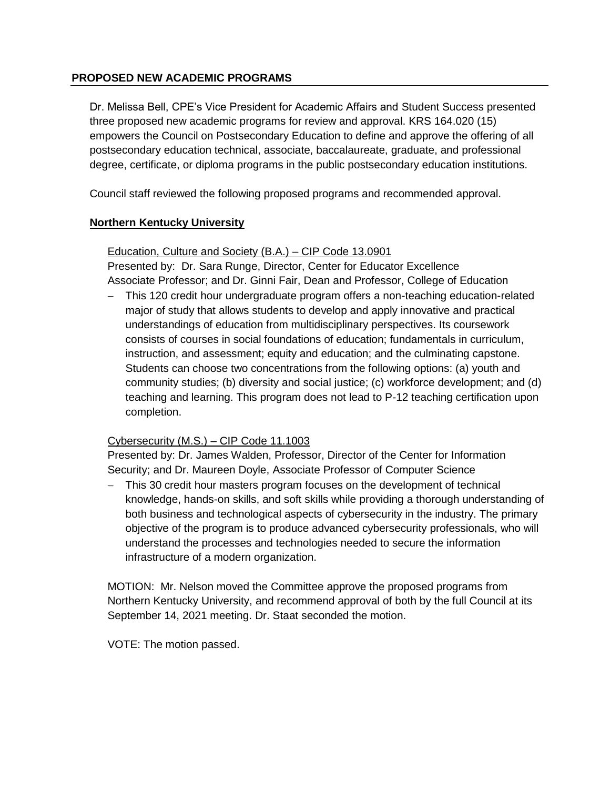## **PROPOSED NEW ACADEMIC PROGRAMS**

Dr. Melissa Bell, CPE's Vice President for Academic Affairs and Student Success presented three proposed new academic programs for review and approval. KRS 164.020 (15) empowers the Council on Postsecondary Education to define and approve the offering of all postsecondary education technical, associate, baccalaureate, graduate, and professional degree, certificate, or diploma programs in the public postsecondary education institutions.

Council staff reviewed the following proposed programs and recommended approval.

# **Northern Kentucky University**

# Education, Culture and Society (B.A.) – CIP Code 13.0901

Presented by: Dr. Sara Runge, Director, Center for Educator Excellence Associate Professor; and Dr. Ginni Fair, Dean and Professor, College of Education

 This 120 credit hour undergraduate program offers a non-teaching education-related major of study that allows students to develop and apply innovative and practical understandings of education from multidisciplinary perspectives. Its coursework consists of courses in social foundations of education; fundamentals in curriculum, instruction, and assessment; equity and education; and the culminating capstone. Students can choose two concentrations from the following options: (a) youth and community studies; (b) diversity and social justice; (c) workforce development; and (d) teaching and learning. This program does not lead to P-12 teaching certification upon completion.

## Cybersecurity (M.S.) – CIP Code 11.1003

Presented by: Dr. James Walden, Professor, Director of the Center for Information Security; and Dr. Maureen Doyle, Associate Professor of Computer Science

 This 30 credit hour masters program focuses on the development of technical knowledge, hands-on skills, and soft skills while providing a thorough understanding of both business and technological aspects of cybersecurity in the industry. The primary objective of the program is to produce advanced cybersecurity professionals, who will understand the processes and technologies needed to secure the information infrastructure of a modern organization.

MOTION: Mr. Nelson moved the Committee approve the proposed programs from Northern Kentucky University, and recommend approval of both by the full Council at its September 14, 2021 meeting. Dr. Staat seconded the motion.

VOTE: The motion passed.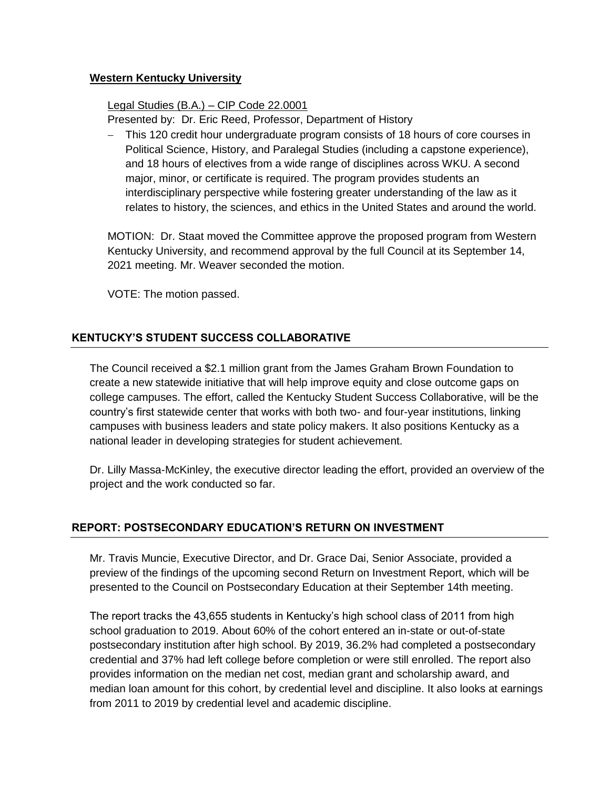## **Western Kentucky University**

Legal Studies (B.A.) – CIP Code 22.0001

Presented by: Dr. Eric Reed, Professor, Department of History

 This 120 credit hour undergraduate program consists of 18 hours of core courses in Political Science, History, and Paralegal Studies (including a capstone experience), and 18 hours of electives from a wide range of disciplines across WKU. A second major, minor, or certificate is required. The program provides students an interdisciplinary perspective while fostering greater understanding of the law as it relates to history, the sciences, and ethics in the United States and around the world.

MOTION: Dr. Staat moved the Committee approve the proposed program from Western Kentucky University, and recommend approval by the full Council at its September 14, 2021 meeting. Mr. Weaver seconded the motion.

VOTE: The motion passed.

# **KENTUCKY'S STUDENT SUCCESS COLLABORATIVE**

The Council received a \$2.1 million grant from the James Graham Brown Foundation to create a new statewide initiative that will help improve equity and close outcome gaps on college campuses. The effort, called the Kentucky Student Success Collaborative, will be the country's first statewide center that works with both two- and four-year institutions, linking campuses with business leaders and state policy makers. It also positions Kentucky as a national leader in developing strategies for student achievement.

Dr. Lilly Massa-McKinley, the executive director leading the effort, provided an overview of the project and the work conducted so far.

# **REPORT: POSTSECONDARY EDUCATION'S RETURN ON INVESTMENT**

Mr. Travis Muncie, Executive Director, and Dr. Grace Dai, Senior Associate, provided a preview of the findings of the upcoming second Return on Investment Report, which will be presented to the Council on Postsecondary Education at their September 14th meeting.

The report tracks the 43,655 students in Kentucky's high school class of 2011 from high school graduation to 2019. About 60% of the cohort entered an in-state or out-of-state postsecondary institution after high school. By 2019, 36.2% had completed a postsecondary credential and 37% had left college before completion or were still enrolled. The report also provides information on the median net cost, median grant and scholarship award, and median loan amount for this cohort, by credential level and discipline. It also looks at earnings from 2011 to 2019 by credential level and academic discipline.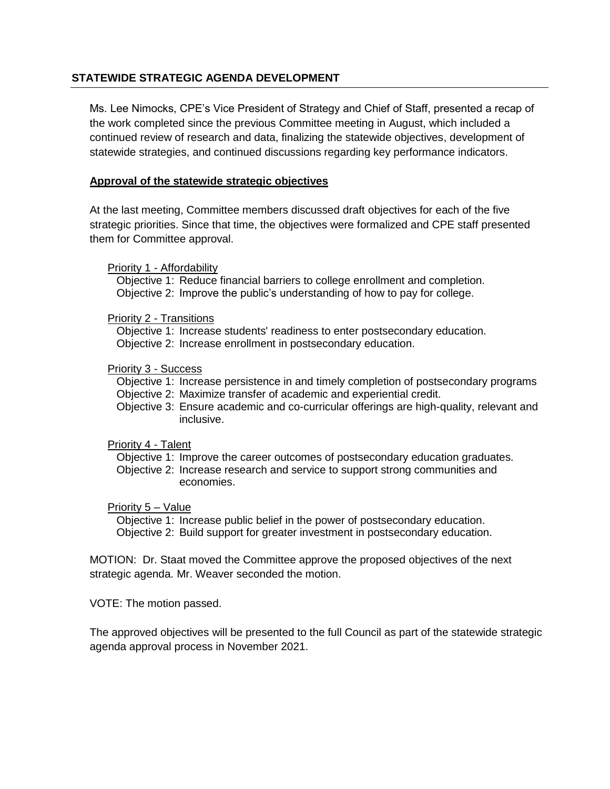## **STATEWIDE STRATEGIC AGENDA DEVELOPMENT**

Ms. Lee Nimocks, CPE's Vice President of Strategy and Chief of Staff, presented a recap of the work completed since the previous Committee meeting in August, which included a continued review of research and data, finalizing the statewide objectives, development of statewide strategies, and continued discussions regarding key performance indicators.

## **Approval of the statewide strategic objectives**

At the last meeting, Committee members discussed draft objectives for each of the five strategic priorities. Since that time, the objectives were formalized and CPE staff presented them for Committee approval.

### Priority 1 - Affordability

Objective 1: Reduce financial barriers to college enrollment and completion. Objective 2: Improve the public's understanding of how to pay for college.

### Priority 2 - Transitions

Objective 1: Increase students' readiness to enter postsecondary education. Objective 2: Increase enrollment in postsecondary education.

### Priority 3 - Success

Objective 1: Increase persistence in and timely completion of postsecondary programs Objective 2: Maximize transfer of academic and experiential credit.

Objective 3: Ensure academic and co-curricular offerings are high-quality, relevant and inclusive.

### Priority 4 - Talent

- Objective 1: Improve the career outcomes of postsecondary education graduates.
- Objective 2: Increase research and service to support strong communities and economies.

### Priority 5 – Value

Objective 1: Increase public belief in the power of postsecondary education. Objective 2: Build support for greater investment in postsecondary education.

MOTION: Dr. Staat moved the Committee approve the proposed objectives of the next strategic agenda. Mr. Weaver seconded the motion.

VOTE: The motion passed.

The approved objectives will be presented to the full Council as part of the statewide strategic agenda approval process in November 2021.